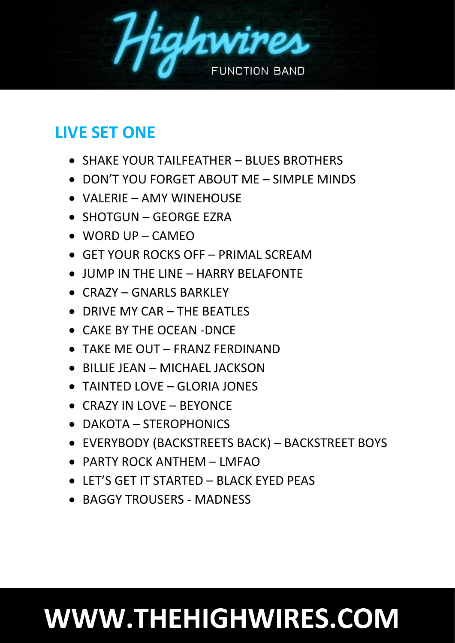

## **LIVE SET ONE**

- SHAKE YOUR TAILFEATHER BLUES BROTHERS
- DON'T YOU FORGET ABOUT ME SIMPLE MINDS
- VALERIE AMY WINEHOUSE
- SHOTGUN GEORGE EZRA
- $\bullet$  WORD UP CAMEO
- GET YOUR ROCKS OFF PRIMAL SCREAM
- JUMP IN THE LINE HARRY BELAFONTE
- CRAZY GNARLS BARKLEY
- DRIVE MY CAR THE BEATLES
- CAKE BY THE OCEAN -DNCE
- TAKE ME OUT FRANZ FERDINAND
- BILLIE JEAN MICHAEL JACKSON
- TAINTED LOVE GLORIA JONES
- CRAZY IN LOVE BEYONCE
- DAKOTA STEROPHONICS
- EVERYBODY (BACKSTREETS BACK) BACKSTREET BOYS
- PARTY ROCK ANTHEM LMFAO
- LET'S GET IT STARTED BLACK EYED PEAS
- BAGGY TROUSERS MADNESS

## WWW.THEHIGHWIRES.COM